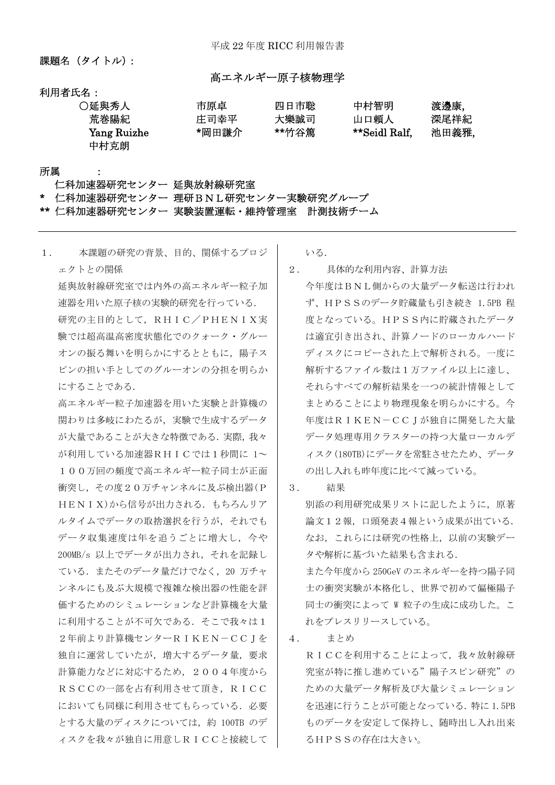課題名 (タイトル):

### 高エネルギー原子核物理学

利用者氏名:

| ○延興秀人       | 市原卓   | 四日市聡  | 中村智明          | 渡邊康,  |
|-------------|-------|-------|---------------|-------|
| 荒巻陽紀        | 庄司幸平  | 大樂誠司  | 山口頼人          | 深尾祥紀  |
| Yang Ruizhe | *岡田謙介 | **竹谷篤 | **Seidl Ralf. | 池田義雅, |
| 中村克朗        |       |       |               |       |

所属 :

#### 仁科加速器研究センター 延與放射線研究室

仁科加速器研究センター 理研BNL研究センター実験研究グループ

\*\* 仁科加速器研究センター 実験装置運転・維持管理室 計測技術チーム

| 1. | 本課題の研究の背景、目的、関係するプロジ                             |
|----|--------------------------------------------------|
|    | ェクトとの関係                                          |
|    | 延與放射線研究室では内外の高エネルギー粒子加                           |
|    | 速器を用いた原子核の実験的研究を行っている.                           |
|    | 研究の主目的として、RHIC/PHENIX実                           |
|    | 験では超高温高密度状態化でのクォーク・グルー                           |
|    | オンの振る舞いを明らかにするとともに,陽子ス                           |
|    | ピンの担い手としてのグルーオンの分担を明らか                           |
|    | にすることである.                                        |
|    | 高エネルギー粒子加速器を用いた実験と計算機の                           |
|    | 関わりは多岐にわたるが、実験で生成するデータ                           |
|    | が大量であることが大きな特徴である. 実際, 我々                        |
|    | が利用している加速器RHICでは1秒間に 1~                          |
|    | 100万回の頻度で高エネルギー粒子同士が正面                           |
|    | 衝突し,その度20万チャンネルに及ぶ検出器(P                          |
|    | HENIX)から信号が出力される. もちろんリア                         |
|    | ルタイムでデータの取捨選択を行うが、それでも                           |
|    | データ収集速度は年を追うごとに増大し、今や                            |
|    | 200MB/s 以上でデータが出力され、それを記録し                       |
|    | ている.またそのデータ量だけでなく,20 万チャ                         |
|    | ンネルにも及ぶ大規模で複雑な検出器の性能を評                           |
|    | 価するためのシミュレーションなど計算機を大量                           |
|    | に利用することが不可欠である.そこで我々は1                           |
|    | 2年前より計算機センターRIKEN-CCJを                           |
|    | 独自に運営していたが、増大するデータ量、要求                           |
|    | 計算能力などに対応するため、2004年度から                           |
|    | RSCCの一部を占有利用させて頂き、RICC<br>においても同様に利用させてもらっている。必要 |
|    | とする大量のディスクについては、約 100TB のデ                       |
|    | ィスクを我々が独自に用意しRICCと接続して                           |
|    |                                                  |

いる.

- 2. 具体的な利用内容、計算方法
	- 今年度はBNL側からの大量データ転送は行われ ず、HPSSのデータ貯蔵量も引き続き 1.5PB 程 度となっている。HPSS内に貯蔵されたデータ は適宜引き出され、計算ノードのローカルハード ディスクにコピーされた上で解析される。一度に 解析するファイル数は1万ファイル以上に達し、 それらすべての解析結果を一つの統計情報として まとめることにより物理現象を明らかにする。今 年度はRIKEN-CCJが独自に開発した大量 データ処理専用クラスターの持つ大量ローカルデ ィスク(180TB)にデータを常駐させたため、データ の出し入れも昨年度に比べて減っている。
- 3. 結果

別添の利用研究成果リストに記したように,原著 論文12報,口頭発表4報という成果が出ている. なお,これらには研究の性格上,以前の実験デー タや解析に基づいた結果も含まれる. また今年度から 250GeV のエネルギーを持つ陽子同 士の衝突実験が本格化し、世界で初めて偏極陽子 同士の衝突によって W 粒子の生成に成功した。こ れをプレスリリースしている。

4. まとめ

RICCを利用することによって,我々放射線研 究室が特に推し進めている"陽子スピン研究"の ための大量データ解析及び大量シミュレーション を迅速に行うことが可能となっている.特に 1.5PB ものデータを安定して保持し、随時出し入れ出来 るHPSSの存在は大きい。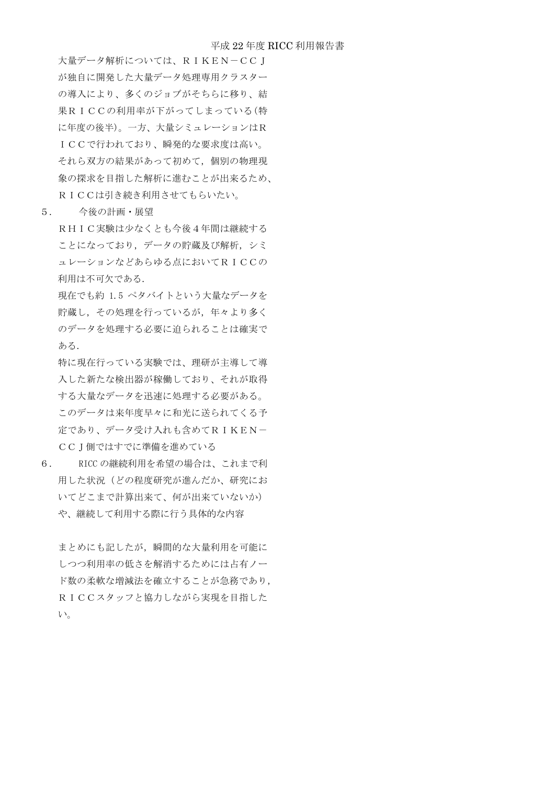#### 平成 22 年度 RICC 利用報告書

大量データ解析については、RIKEN-CCJ が独自に開発した大量データ処理専用クラスター の導入により、多くのジョブがそちらに移り、結 果RICCの利用率が下がってしまっている(特 に年度の後半)。一方、大量シミュレーションはR ICCで行われており、瞬発的な要求度は高い。 それら双方の結果があって初めて,個別の物理現 象の探求を目指した解析に進むことが出来るため、 RICCは引き続き利用させてもらいたい。

5. 今後の計画・展望

RHIC実験は少なくとも今後4年間は継続する ことになっており、データの貯蔵及び解析,シミ ュレーションなどあらゆる点においてRICCの 利用は不可欠である.

現在でも約 1.5 ペタバイトという大量なデータを 貯蔵し,その処理を行っているが,年々より多く のデータを処理する必要に迫られることは確実で ある.

特に現在行っている実験では、理研が主導して導 入した新たな検出器が稼働しており、それが取得 する大量なデータを迅速に処理する必要がある。 このデータは来年度早々に和光に送られてくる予 定であり、データ受け入れも含めてRIKEN- CCJ側ではすでに準備を進めている

6. RICC の継続利用を希望の場合は、これまで利 用した状況(どの程度研究が進んだか、研究にお いてどこまで計算出来て、何が出来ていないか) や、継続して利用する際に行う具体的な内容

まとめにも記したが,瞬間的な大量利用を可能に しつつ利用率の低さを解消するためには占有ノー ド数の柔軟な増減法を確立することが急務であり, RICCスタッフと協力しながら実現を目指した い。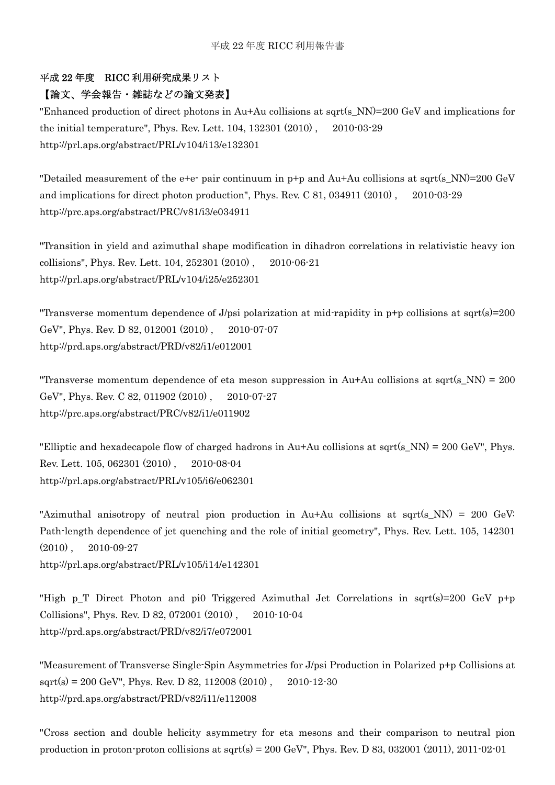# 平成 22 年度 RICC 利用研究成果リスト

## 【論文、学会報告・雑誌などの論文発表】

"Enhanced production of direct photons in Au+Au collisions at sqrt(s\_NN)=200 GeV and implications for the initial temperature", Phys. Rev. Lett. 104, 132301 (2010) , 2010-03-29 http://prl.aps.org/abstract/PRL/v104/i13/e132301

"Detailed measurement of the e+e- pair continuum in p+p and Au+Au collisions at sqrt(s\_NN)=200 GeV and implications for direct photon production", Phys. Rev. C 81, 034911 (2010) , 2010-03-29 http://prc.aps.org/abstract/PRC/v81/i3/e034911

"Transition in yield and azimuthal shape modification in dihadron correlations in relativistic heavy ion collisions", Phys. Rev. Lett. 104, 252301 (2010) , 2010-06-21 http://prl.aps.org/abstract/PRL/v104/i25/e252301

"Transverse momentum dependence of J/psi polarization at mid-rapidity in  $p+p$  collisions at sqrt(s)=200 GeV", Phys. Rev. D 82, 012001 (2010) , 2010-07-07 http://prd.aps.org/abstract/PRD/v82/i1/e012001

"Transverse momentum dependence of eta meson suppression in  $Au+Au$  collisions at sqrt(s NN) = 200 GeV", Phys. Rev. C 82, 011902 (2010) , 2010-07-27 http://prc.aps.org/abstract/PRC/v82/i1/e011902

"Elliptic and hexadecapole flow of charged hadrons in Au+Au collisions at sqrt(s\_NN) =  $200 \text{ GeV}$ ", Phys. Rev. Lett. 105, 062301 (2010) , 2010-08-04 http://prl.aps.org/abstract/PRL/v105/i6/e062301

"Azimuthal anisotropy of neutral pion production in Au+Au collisions at sqrt(s\_NN) = 200 GeV: Path-length dependence of jet quenching and the role of initial geometry", Phys. Rev. Lett. 105, 142301 (2010) , 2010-09-27

http://prl.aps.org/abstract/PRL/v105/i14/e142301

"High p T Direct Photon and pi0 Triggered Azimuthal Jet Correlations in sqrt(s)=200 GeV p+p Collisions", Phys. Rev. D 82, 072001 (2010) , 2010-10-04 http://prd.aps.org/abstract/PRD/v82/i7/e072001

"Measurement of Transverse Single-Spin Asymmetries for J/psi Production in Polarized p+p Collisions at  $sqrt(s) = 200 \text{ GeV}$ ", Phys. Rev. D 82, 112008 (2010), 2010-12-30 http://prd.aps.org/abstract/PRD/v82/i11/e112008

"Cross section and double helicity asymmetry for eta mesons and their comparison to neutral pion production in proton-proton collisions at sqrt(s) =  $200 \text{ GeV}$ ", Phys. Rev. D 83, 032001 (2011), 2011-02-01